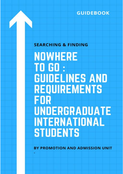**GUIDEBOOK** 

# **SEARCHING & FINDING**

**NOWHERE** TO GO : **GUIDELINES AND REQUIREMENTS** FOR **UNDERGRADUATE INTERNATIONAL STUDENTS** 

**BY PROMOTION AND ADMISSION UNIT**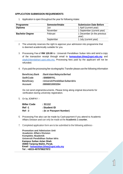## **APPLICATION SUBMISSION REQUIREMENTS**

1. Application is open throughout the year for following intake:

| <b>Programme</b>       | Semester/Intake | <b>Submission Date Before</b>        |
|------------------------|-----------------|--------------------------------------|
| <b>Diploma</b>         | Jun             | 1 April (current year)               |
|                        | November        | 1 September (current year)           |
| <b>Bachelor Degree</b> | Februari        | 1 December (in the previous<br>year) |
|                        | September       | 1 July (current year)                |

- 2. The university reserves the right to approve your admission into programme that is deemed academically suitable for you.
- 3. Processing Fee of **RM 120.00** to : Universiti Pendidikan Sultan Idris and send a copy of the transaction receipt through email to **[kemasukan.bhea@upsi.edu.my](mailto:kemasukan.bhea@upsi.edu.my)** and **[ukpk@bendahari.upsi.edu.my.](mailto:ukpk@bendahari.upsi.edu.my)** Processing fees paid by the applicant will not be refunded.
- 4. If you paid the processing fee via elegraphic Transfer please use the following information

| <b>Beneficiary Bank</b> | : Bank Islam Malaysia Berhad         |
|-------------------------|--------------------------------------|
| <b>Swift Code</b>       | : BIMBMYKL                           |
| <b>Beneficiary</b>      | : Universiti Pendidikan Sultan Idris |
| <b>Account</b>          | :08068010003264                      |

Do not send originaldocuments. Please bring along original documents for verification during university registration.

5. Or by JOMPAY :-

| <b>Biller Code</b> | :31112                    |
|--------------------|---------------------------|
| <b>Ref</b> -1      | : Student ID              |
| <b>Ref</b> - 2     | : (Ic or Passport Number) |

- 6. Processing Fee also can be made by Cash payment if you attend to Academic Affairs Division and can only be made at the **Academic 1 counter.**
- 7. Completed application form are to be submitted to the following address:-

**Promotion and Admission Unit Academic Affairs Division Kompleks Akademik Universiti Pendidikan Sultan Idris Kampus Sultan Azlan Shah 35900 Tanjong Malim, Perak. Email : [kemasukan.bhea@upsi.edu.my](mailto:kemasukan.bhea@upsi.edu.my) Tel : +6015-49797982/7872**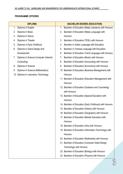# **PROGRAMME OFFERED**

|    | <b>DIPLOMA</b>                        |    | <b>BACHELOR DEGREE (EDUCATION)</b>                       |
|----|---------------------------------------|----|----------------------------------------------------------|
| 1. | Diploma In English                    | 1. | Bachelor of Education (Malay Literature) with Honours    |
| 2. | Diploma In Music                      | 2. | Bachelor of Education (Malay Language) with              |
| 3. | Diploma In Dance                      |    | Honours                                                  |
| 4. | Diploma In Theater                    |    | 3. Bachelor of Education (TESL) with Honours             |
| 5. | Diploma In Early Childhood            | 4. | Bachelor in Arabic Language with Education               |
| 6. | Diploma In Game Design And            | 5. | Bachelor in Chinese Language with Education              |
|    | Development                           | 6. | Bachelor of Education (Tamil Language) with Honours      |
| 7. | Diploma In Science Computer (Internet | 7. | Bachelor of Education (Music) with Honours               |
|    | Computing)                            | 8. | Bachelor of Education (Accounting) with Honours          |
| 8. | Diploma In Science                    | 9. | Bachelor of Education (Economics) with Honours           |
| 9. | Diploma In Science (Mathematics)      |    | 10. Bachelor of Education (Business Management) with     |
|    | 10. Diploma In Laboratory Technology  |    | Honours                                                  |
|    |                                       |    | 11. Bachelor of Education (Education Management) with    |
|    |                                       |    | Honours                                                  |
|    |                                       |    | 12. Bachelor of Education (Guidance and Counseling)      |
|    |                                       |    | with Honours                                             |
|    |                                       |    | 13. Bachelor of Education (Special Education) with       |
|    |                                       |    | Honours                                                  |
|    |                                       |    | 14. Bachelor of Education (Early Childhood) with Honours |
|    |                                       |    | 15. Bachelor of Education (History) with Honours         |
|    |                                       |    | 16. Bachelor of Education (Geography) with Honours       |
|    |                                       |    | 17. Bachelor of Education (Morale Education) with        |
|    |                                       |    | Honours                                                  |
|    |                                       |    | 18. Bachelor of Education (Arts) with Honours            |
|    |                                       |    | 19. Bachelor of Education (Information Technology) with  |
|    |                                       |    | Honours                                                  |
|    |                                       |    | 20. Bachelor of Education (Multimedia) with Honours      |
|    |                                       |    | 21. Bachelor of Education (Computer Aided Design         |
|    |                                       |    | Technology) with Honours                                 |
|    |                                       |    | 22. Bachelor of Education (Biology) with Honours         |
|    |                                       |    | 23. Bachelor of Education (Physics) with Honours         |

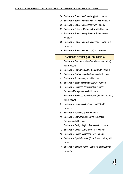|    | 24. Bachelor of Education (Chemistry) with Honours         |
|----|------------------------------------------------------------|
|    | 25. Bachelor of Education (Mathematics) with Honours       |
|    | 26. Bachelor of Education (Science) with Honours           |
|    | 27. Bachelor of Science (Mathematics) with Honours         |
|    | 28. Bachelor of Education (Agricultural Science) with      |
|    | Honours                                                    |
|    | 29. Bachelor of Education (Technology and Design) with     |
|    | Honours                                                    |
|    | 30. Bachelor of Education (Invention) with Honours         |
|    | <b>BACHELOR DEGREE (NON EDUCATION)</b>                     |
| 1. | Bachelor of Communication (Social Communication)           |
|    | with Honours                                               |
| 2. | Bachelor of Performing Arts (Theater) with Honours         |
| 3. | Bachelor of Performing Arts (Dance) with Honours           |
| 4. | Bachelor of Accountancy with Honours                       |
| 5. | Bachelor of Economics (Finance) with Honours               |
| 6. | Bachelor of Business Administration (Human                 |
|    | Resource Management) with Honours                          |
| 7. | Bachelor of Business Administration (Finance Service)      |
|    | with Honours                                               |
| 8. | Bachelor of Economics (Islamic Finance) with               |
|    | Honours                                                    |
| 9. | Bachelor of Psychology with Honours                        |
|    | 10. Bachelor of Software Engineering (Education            |
|    | Software) with Honours                                     |
|    | 11. Bachelor of Design (Digital Games) with Honours        |
|    | 12. Bachelor of Design (Advertising) with Honours          |
|    | 13. Bachelor of Design (Animation) with Honours            |
|    | 14. Bachelor of Sports Science (Sport Rehabilitation) with |
|    | Honours                                                    |
|    | 15. Bachelor of Sports Science (Coaching Science) with     |
|    | Honours                                                    |
|    |                                                            |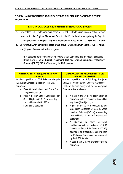# **GENERAL AND PROGRAMME REQUIREMENT FOR DIPLOMA AND BACHELOR DEGREE PROGRAMME**

## **ENGLISH LANGUAGE REQUIREMENT INTERNATIONAL STUDENT**

- a. Have sat for TOEFL with a minimum score of 500 or IELTS with minimum score of five (5);\* *or*
- b. Have sat for the **English Placement Test** to identify the level of competency in English Language to enter the **English Language Proficiency Course (ELPC)** at UPSI Band 4 for;*and*
- **c. Sit for TOEFL with a minimum score of 500 or IELTS with minimum score of five (5) within one (1) year of enrolment to the program**

**\***For students from countries which speaks Malay Language like Indonesia, Singapura , Brunei have to sit for **English Placement Test** and **English Language Proficiency Courses (ELPC)** *ONLY IF* they apply for TESL program.

| <b>GENERAL ENTRY REQUIREMENT FOR</b>                                                                                                                                                                                                                                                                                                                                                                                                                                                                                                                                                                                                                                                                                                                                                                                                               |
|----------------------------------------------------------------------------------------------------------------------------------------------------------------------------------------------------------------------------------------------------------------------------------------------------------------------------------------------------------------------------------------------------------------------------------------------------------------------------------------------------------------------------------------------------------------------------------------------------------------------------------------------------------------------------------------------------------------------------------------------------------------------------------------------------------------------------------------------------|
|                                                                                                                                                                                                                                                                                                                                                                                                                                                                                                                                                                                                                                                                                                                                                                                                                                                    |
| <b>BACHELOR DEGREE</b><br>Academic qualifications of Sijil Tinggi Pelajaran<br>Malaysia (Higher School Leaving Certificate -<br>HSC) or Diploma recognized by the Malaysian<br>Government or equivalent:<br>A pass in the 'A' Level examination or<br>а.<br>equivalent with a minimum of Grade C in<br>any three $(3)$ subjects; or<br>A pass in the Senior Secondary School<br>b.<br>Graduation Certificate (at least 12 years<br>duration of studies $(6+3+3)$ ) or according<br>the qualification list for MQA international<br>students;or<br>A Diploma or other<br>equivalent<br>$\mathbf{C}$ .<br>qualification with a minimum of 2.50<br>Cumulative Grade Point Average (CGPA)<br>deemed to be of equivalent standing from<br>the Malaysian Government and approved<br>by the UPSI Senate;<br>d. A pass in the 'O' Level examination or its |
| equivalent;                                                                                                                                                                                                                                                                                                                                                                                                                                                                                                                                                                                                                                                                                                                                                                                                                                        |
|                                                                                                                                                                                                                                                                                                                                                                                                                                                                                                                                                                                                                                                                                                                                                                                                                                                    |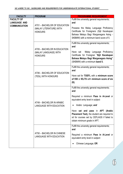| <b>FACULTY</b>                                                   | <b>PROGRAM</b>                                                            | <b>PROGRAMME REQUIREMENT</b>                                                                                                                                                                                                                                                                                                        |
|------------------------------------------------------------------|---------------------------------------------------------------------------|-------------------------------------------------------------------------------------------------------------------------------------------------------------------------------------------------------------------------------------------------------------------------------------------------------------------------------------|
| <b>FACULTY OF</b><br><b>LANGUAGE AND</b><br><b>COMMUNICATION</b> | AT01 - BACHELOR OF EDUCATION<br>(MALAY LITERATURE) WITH<br><b>HONOURS</b> | Fulfill the university general requirements;<br>and<br>Possess the Malay Language Proficiency<br>Certificate for Foreigners (Sijil Kecekapan<br>Bahasa Melayu Bagi Warganegara Asing -<br>SKBMW) with a minimum band score of 5.                                                                                                    |
|                                                                  | AT05 - BACHELOR IN EDUCATION<br>(MALAY LANGUAGE) WITH<br><b>HONOURS</b>   | Fulfill the university general requirements;<br>and<br>Malay Language Proficiency<br>Have sat<br>Certificate for Foreigner "Sijil Kecekapan<br>Bahasa Melayu Bagi Warganegara Asing"<br>(SKBMW) with a minimum band 5.                                                                                                              |
|                                                                  | AT06 - BACHELOR OF EDUCATION<br>(TESL) WITH HONOURS                       | Fulfill the university general requirements;<br>and<br>Have sat for <b>TOEFL</b> with a minimum score<br>of 550 or IELTS with minimum score of six<br>(6);                                                                                                                                                                          |
|                                                                  | AT49 - BACHELOR IN ARABIC<br><b>LANGUAGE WITH EDUCATION</b>               | Fulfill the university general requirements;<br>and<br>Required a minimum Pass in A-Level or<br>equivalent entry level in subject<br>Arabic Language; and<br>Have sat and pass in APT (Arabic<br><b>Placement Test), the student are required to</b><br>sit for courses set by CEFLAGS if failed to<br>obtain minimum grade in APT. |
|                                                                  | AT50 - BACHELOR IN CHINESE<br><b>LANGUAGE WITH EDUCATION</b>              | Fulfill the university general requirements;<br>and<br>Required a minimum <b>Pass in A-Level</b> or<br>equivalent entry level in subject:<br>Chinese Language; OR                                                                                                                                                                   |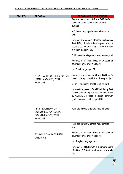| <b>FACULTY</b> | <b>PROGRAM</b>                                                                                     | <b>PROGRAMME REQUIREMENT</b>                                                                                                                                                  |
|----------------|----------------------------------------------------------------------------------------------------|-------------------------------------------------------------------------------------------------------------------------------------------------------------------------------|
|                |                                                                                                    | Required a minimum of Grade B/4B in O-<br>Level or its equivalent in the following<br>subject:                                                                                |
|                |                                                                                                    | • Chinese Language;/ Chinese Literature:<br>and                                                                                                                               |
|                |                                                                                                    | Have sat and pass in Chinese Proficiency<br>Test (HSK), the student are required to sit for<br>courses set by CEFLAGS if failed to obtain<br>minimum grade in HSK.            |
|                |                                                                                                    | Fulfill the university general requirements; and                                                                                                                              |
|                |                                                                                                    | Required a minimum Pass in A-Level or<br>equivalent entry level in subject:                                                                                                   |
|                |                                                                                                    | Tamil Language; OR                                                                                                                                                            |
|                | AT62 - BACHELOR OF EDUCATION<br>(TAMIL LANGUAGE) WITH                                              | Required a minimum of Grade B/4B in O-<br>Level or its equivalent in the following subject:                                                                                   |
|                | <b>HONOURS</b>                                                                                     | • Tamil Language;/ Tamil Literature: and                                                                                                                                      |
|                |                                                                                                    | Have sat and pass in Tamil Proficiency Test<br>, the student are required to sit for courses set<br>by CEFLAGS if failed to obtain minimum<br>grade – double check dengan FBK |
|                | AB14 - BACHELOR OF<br><b>COMMUNICATION (SOCIAL</b><br><b>COMMUNICATION) WITH</b><br><b>HONOURS</b> | Fulfill the university general requirements;                                                                                                                                  |
|                |                                                                                                    | Fulfill the university general requirements;<br>and                                                                                                                           |
|                | A2150-DIPLOMA IN ENGLISH<br><b>LANGUAGE</b>                                                        | Required a minimum Pass in O-Level or<br>equivalent entry level in subject:                                                                                                   |
|                |                                                                                                    | English Language; and                                                                                                                                                         |
|                |                                                                                                    | Have sat for <b>TOEFL</b> with a minimum score<br>of 550 or IELTS with minimum score of six<br>(6);                                                                           |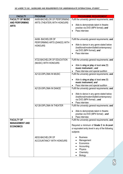| <b>FACULTY</b>                                                 | <b>PROGRAM</b>                                                      | <b>PROGRAMME REQUIREMENT</b>                                                                                                                                                                                                                                 |
|----------------------------------------------------------------|---------------------------------------------------------------------|--------------------------------------------------------------------------------------------------------------------------------------------------------------------------------------------------------------------------------------------------------------|
| <b>FACULTY OF MUSIC</b>                                        | AA06-BACHELOR OF PERFORMING                                         | Fulfil the university general requirements; and                                                                                                                                                                                                              |
| <b>AND PERFORMING</b><br><b>ARTS</b>                           | ARTS (THEATER) WITH HONOURS                                         | Able to demonstrate talent in theatre<br>practise via DVD (MP4 format); and<br>Pass interview                                                                                                                                                                |
|                                                                | AA56- BACHELOR OF<br>PERFORMING ARTS (DANCE) WITH<br><b>HONOURS</b> | Fulfil the university general requirements; and<br>Able to dance in any genre stated below<br>(traditional/modern/ballet/contemporary)<br>via DVD (MP4 format); and<br>Pass interview                                                                        |
|                                                                | AT22-BACHELOR OF EDUCATION<br>(MUSIC) WITH HONOURS                  | Fulfil the university general requirements; and<br>Able to sing or play at least one (1)<br>$\bullet$<br>music instrument; and<br>Pass interview and special audition<br>٠                                                                                   |
|                                                                | A2122-DIPLOMA IN MUSIC                                              | Fulfil the university general requirements; and<br>Able to sing or play at least one (1)<br>music instrument; and<br>Pass interview and special audition                                                                                                     |
|                                                                | A2125-DIPLOMA IN DANCE                                              | Fulfil the university general requirements; and<br>Able to dance in any genre stated below<br>(traditional/modern/ballet/contemporary)<br>via DVD (MP4 format); and<br>Pass interview                                                                        |
|                                                                | A2126-DIPLOMA IN THEATER                                            | Fulfil the university general requirements; and<br>Able to demonstrate talent in theatre<br>practise via DVD (MP4 format); and<br>Pass interview                                                                                                             |
| <b>FACULTY OF</b><br><b>MANAGEMENT AND</b><br><b>ECONOMICS</b> | AE02-BACHELOR OF<br>ACCOUNTANCY WITH HONOURS                        | Fulfil the university general requirements; and<br>Required a minimum of Grade C in A-Level<br>or equivalent entry level in any of the following<br>subjects:<br><b>Business</b><br>Management<br>Economics<br>Accounting<br>Physics<br>Chemistry<br>Biology |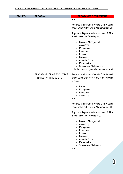| <b>FACULTY</b> | <b>PROGRAM</b>             | <b>PROGRAMME REQUIREMENT</b>                                                             |
|----------------|----------------------------|------------------------------------------------------------------------------------------|
|                |                            | and                                                                                      |
|                |                            | Required a minimum of Grade C in A-Level                                                 |
|                |                            | or equivalent entry level in Mathematics; OR                                             |
|                |                            | A pass in Diploma with a minimum CGPA<br>2.50 in any of the following field:             |
|                |                            | <b>Business Management</b>                                                               |
|                |                            | Accounting                                                                               |
|                |                            | Management                                                                               |
|                |                            | Economics                                                                                |
|                |                            | Finance                                                                                  |
|                |                            | Banking                                                                                  |
|                |                            | <b>Actuarial Science</b>                                                                 |
|                |                            | <b>Mathematics</b>                                                                       |
|                |                            | <b>Science and Mathematics</b>                                                           |
|                |                            | Fulfil the university general requirements; and                                          |
|                | AE07-BACHELOR OF ECONOMICS | Required a minimum of Grade C in A-Level                                                 |
|                | (FINANCE) WITH HONOURS     | or equivalent entry level in any of the following                                        |
|                |                            | subjects:                                                                                |
|                |                            |                                                                                          |
|                |                            | <b>Business</b>                                                                          |
|                |                            | Management                                                                               |
|                |                            | Economics                                                                                |
|                |                            | Accounting                                                                               |
|                |                            | and                                                                                      |
|                |                            | Required a minimum of Grade C in A-Level<br>or equivalent entry level in Mathematics; OR |
|                |                            |                                                                                          |
|                |                            | A pass in Diploma with a minimum CGPA<br>2.50 in any of the following field:             |
|                |                            | <b>Business Management</b>                                                               |
|                |                            | Accounting                                                                               |
|                |                            | Management                                                                               |
|                |                            | Economics                                                                                |
|                |                            | Finance                                                                                  |
|                |                            | <b>Banking</b>                                                                           |
|                |                            | <b>Actuarial Science</b>                                                                 |
|                |                            | <b>Mathematics</b>                                                                       |
|                |                            | <b>Science and Mathematics</b>                                                           |
|                |                            | and                                                                                      |
|                |                            |                                                                                          |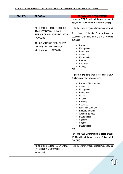| <b>FACULTY</b> | <b>PROGRAM</b>             | <b>PROGRAMME REQUIREMENT</b>                    |
|----------------|----------------------------|-------------------------------------------------|
|                |                            | Have sat TOEFL with minimum score of            |
|                |                            | 550; IELTS with minimum score of six (6)        |
|                |                            |                                                 |
|                | AE11-BACHELOR OF BUSINESS  | Fulfil the university general requirements; and |
|                | ADMINISTRATION (HUMAN      |                                                 |
|                | RESOURCE MANAGEMENT) WITH  | A minimum of Grade C in A-Level or              |
|                | <b>HONOURS</b>             | equivalent entry level in any of the following  |
|                |                            | subjects:                                       |
|                | AE14- BACHELOR OF BUSINESS |                                                 |
|                | ADMINISTRATION (FINANCE    | <b>Business</b>                                 |
|                |                            | Management                                      |
|                | SERVICE) WITH HONOURS      | Economics                                       |
|                |                            | Accounting                                      |
|                |                            | <b>Mathematics</b>                              |
|                |                            | Physics                                         |
|                |                            | Chemistry                                       |
|                |                            | <b>Biology</b>                                  |
|                |                            | <b>OR</b>                                       |
|                |                            |                                                 |
|                |                            | A pass in Diploma with a minimum CGPA           |
|                |                            | 2.50 in any of the following field:             |
|                |                            |                                                 |
|                |                            | <b>Business Management</b>                      |
|                |                            | Accounting                                      |
|                |                            | Management                                      |
|                |                            | Economics                                       |
|                |                            | Marketing                                       |
|                |                            | Finance                                         |
|                |                            | Banking                                         |
|                |                            | Insurance                                       |
|                |                            | Retail Management                               |
|                |                            | Entrepreneurship                                |
|                |                            | <b>Actuarial Science</b>                        |
|                |                            | <b>Mathematics</b>                              |
|                |                            | <b>Statistics</b>                               |
|                |                            | Science                                         |
|                |                            | <b>Mathematics</b>                              |
|                |                            | and                                             |
|                |                            |                                                 |
|                |                            | Have sat TOEFL with minimum score of 500;       |
|                |                            | IELTS with minimum score of five point          |
|                |                            | five $(5.5)$                                    |
|                |                            |                                                 |
|                | AE23-BACHELOR OF ECONOMICS | Fulfil the university general requirements; and |
|                | (ISLAMIC FINANCE) WITH     |                                                 |
|                | <b>HONOURS</b>             |                                                 |
|                |                            |                                                 |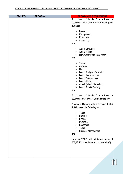| <b>FACULTY</b> | <b>PROGRAM</b> | <b>PROGRAMME REQUIREMENT</b>                    |
|----------------|----------------|-------------------------------------------------|
|                |                | A minimum of Grade C in A-Level or              |
|                |                | equivalent entry level in any of each group     |
|                |                | subjects:                                       |
|                |                |                                                 |
|                |                | <b>Business</b>                                 |
|                |                | Management<br>$\bullet$<br>Economics            |
|                |                | Accounting                                      |
|                |                | and                                             |
|                |                |                                                 |
|                |                | Arabic Language                                 |
|                |                | <b>Arabic Writing</b><br>$\bullet$              |
|                |                | Nahu/Saraf (Arabic Grammar)                     |
|                |                | and                                             |
|                |                | <b>Tafseer</b>                                  |
|                |                | Al-Quran                                        |
|                |                | Hadith<br>$\bullet$                             |
|                |                | <b>Islamic Religious Education</b><br>$\bullet$ |
|                |                | <b>Islamic Legal Maxims</b><br>$\bullet$        |
|                |                | <b>Islamic Transactions</b><br>$\bullet$        |
|                |                | <b>Islamic History</b><br>$\bullet$             |
|                |                | Akhlak (Islamic Behaviour)<br>$\bullet$         |
|                |                | <b>Islamic Estate Planning</b>                  |
|                |                | and                                             |
|                |                | A minimum of Grade C in A-Level or              |
|                |                | equivalent entry level in Mathematics; OR       |
|                |                |                                                 |
|                |                | A pass in Diploma with a minimum CGPA           |
|                |                | 2.50 in any of the following field:             |
|                |                |                                                 |
|                |                | Tahfiz                                          |
|                |                | <b>Banking</b><br>Finance                       |
|                |                | Muamalat                                        |
|                |                | Economics                                       |
|                |                | Takaful                                         |
|                |                | <b>Business Management</b>                      |
|                |                | and                                             |
|                |                |                                                 |
|                |                | Have sat TOEFL with minimum score of            |
|                |                | 550; IELTS with minimum score of six (6)        |
|                |                |                                                 |
|                |                |                                                 |
|                |                |                                                 |
|                |                |                                                 |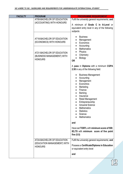| <b>FACULTY</b> | <b>PROGRAM</b>                                                              | <b>PROGRAMME REQUIREMENT</b>                                                                                                                                                                                                                                                                          |  |
|----------------|-----------------------------------------------------------------------------|-------------------------------------------------------------------------------------------------------------------------------------------------------------------------------------------------------------------------------------------------------------------------------------------------------|--|
|                | AT08-BACHELOR OF EDUCATION<br>(ACCOUNTING) WITH HONOURS                     | Fulfil the university general requirements; and<br>A minimum of Grade C in A-Level or<br>equivalent entry level in any of the following<br>subjects:                                                                                                                                                  |  |
|                | AT18-BACHELOR OF EDUCATION<br>(ECONOMICS) WITH HONOURS                      | <b>Business</b><br>Management<br>Economics<br>Accounting<br>$\bullet$                                                                                                                                                                                                                                 |  |
|                | AT21-BACHELOR OF EDUCATION<br>(BUSINESS MANAGEMENT) WITH<br><b>HONOURS</b>  | <b>Mathematics</b><br>Physics<br>Chemistry<br><b>Biology</b><br><b>OR</b>                                                                                                                                                                                                                             |  |
|                |                                                                             | A pass in Diploma with a minimum CGPA<br>2.50 in any of the following field:                                                                                                                                                                                                                          |  |
|                |                                                                             | <b>Business Management</b><br>Accounting<br>Management<br>Economics<br>Marketing<br>Finance<br><b>Banking</b><br>$\bullet$<br>Insurance<br>$\bullet$<br>Retail Management<br>Entrepreneurship<br><b>Actuarial Science</b><br><b>Mathematics</b><br><b>Statistics</b><br>Science<br><b>Mathematics</b> |  |
|                |                                                                             | and<br>Have sat TOEFL with minimum score of 500;<br>IELTS with minimum score of five point<br>five $(5.5)$                                                                                                                                                                                            |  |
|                | AT24-BACHELOR OF EDUCATION<br>(EDUCATION MANAGEMENT) WITH<br><b>HONOURS</b> | Fulfil the university general requirements; and<br>Possess a Certificate/Diploma in Education<br>or equivalent entry level                                                                                                                                                                            |  |
|                |                                                                             | and                                                                                                                                                                                                                                                                                                   |  |

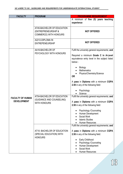| <b>FACULTY</b>          | <b>PROGRAM</b>                                          | <b>PROGRAMME REQUIREMENT</b>                                                           |  |  |
|-------------------------|---------------------------------------------------------|----------------------------------------------------------------------------------------|--|--|
|                         |                                                         | A minimum of five (5) years teaching                                                   |  |  |
|                         |                                                         | experience                                                                             |  |  |
|                         | AT45-BACHELOR OF EDUCATION                              |                                                                                        |  |  |
|                         | (ENTREPRENEURSHIP &                                     | <b>NOT OFFERED</b>                                                                     |  |  |
|                         | COMMERCE) WITH HONOURS                                  |                                                                                        |  |  |
|                         | A2212-DIPLOMA IN                                        |                                                                                        |  |  |
|                         | <b>ENTREPENEURSHIP</b>                                  | <b>NOT OFFERED</b>                                                                     |  |  |
|                         | AA16-BACHELOR OF                                        | Fulfil the university general requirements; and                                        |  |  |
|                         | PSYCHOLOGY WITH HONOURS                                 |                                                                                        |  |  |
|                         |                                                         | Required a minimum Grade C in A-Level<br>equivalence entry level in the subject listed |  |  |
|                         |                                                         | below:-                                                                                |  |  |
|                         |                                                         |                                                                                        |  |  |
|                         |                                                         | Biology<br><b>Mathematics</b>                                                          |  |  |
|                         |                                                         | Physics/Chemistry/Science                                                              |  |  |
|                         |                                                         | <b>OR</b>                                                                              |  |  |
|                         |                                                         | A pass in Diploma with a minimum CGPA                                                  |  |  |
|                         |                                                         | 2.50 in any of the following field:                                                    |  |  |
|                         |                                                         | Psychology                                                                             |  |  |
|                         |                                                         | Science                                                                                |  |  |
| <b>FACULTY OF HUMAN</b> | AT04-BACHELOR OF EDUCATION                              | Fulfil the university general requirements; and                                        |  |  |
| <b>DEVELOPMENT</b>      | (GUIDANCE AND COUNSELING)<br><b>WITH HONOURS</b>        | A pass in Diploma with a minimum CGPA                                                  |  |  |
|                         |                                                         | 2.50 in any of the following field:                                                    |  |  |
|                         |                                                         | <b>Psychology /Counceling</b>                                                          |  |  |
|                         |                                                         | Human Development                                                                      |  |  |
|                         |                                                         | Social Work                                                                            |  |  |
|                         |                                                         | <b>Islamic Studies</b><br><b>Human Resources</b>                                       |  |  |
|                         |                                                         | Fulfil the university general requirements; and                                        |  |  |
|                         |                                                         |                                                                                        |  |  |
|                         | AT10- BACHELOR OF EDUCATION<br>(SPECIAL EDUCATION) WITH | A pass in Diploma with a minimum CGPA<br>2.50 in any of the following field:           |  |  |
|                         | <b>HONOURS</b>                                          |                                                                                        |  |  |
|                         |                                                         | Early Childhood                                                                        |  |  |
|                         |                                                         | Psychology /Counceling                                                                 |  |  |
|                         |                                                         | Human Development<br>Social Work                                                       |  |  |
|                         |                                                         | Human Resources                                                                        |  |  |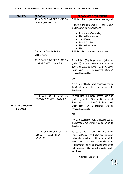| <b>FACULTY</b>                             | <b>PROGRAM</b>                                                           | <b>PROGRAMME REQUIREMENT</b>                                                                                                                                                                                                                                                                                                               |  |
|--------------------------------------------|--------------------------------------------------------------------------|--------------------------------------------------------------------------------------------------------------------------------------------------------------------------------------------------------------------------------------------------------------------------------------------------------------------------------------------|--|
|                                            | AT19- BACHELOR OF EDUCATION                                              | Fulfil the university general requirements; and                                                                                                                                                                                                                                                                                            |  |
|                                            | (EARLY CHILDHOOD)                                                        | A pass in Diploma with a minimum CGPA                                                                                                                                                                                                                                                                                                      |  |
|                                            |                                                                          | 2.50 in any of the following field:                                                                                                                                                                                                                                                                                                        |  |
|                                            | A2520-DIPLOMA IN EARLY                                                   | Psychology /Counceling<br>Human Development<br>Social Work<br><b>Islamic Studies</b><br>Human Resources<br>Nursing<br>Fulfil the university general requirements;                                                                                                                                                                          |  |
|                                            | <b>CHILDHOOD</b>                                                         |                                                                                                                                                                                                                                                                                                                                            |  |
|                                            | AT32- BACHELOR OF EDUCATION<br>(HISTORY) WITH HONOURS                    | At least three (3) principal passes (minimum<br>grade C) in the General Certificate of<br>Education 'Advance Level' (GCE) 'A' Level<br>Examination (UK Educational<br>System)<br>obtained in one sitting                                                                                                                                   |  |
|                                            |                                                                          | <b>OR</b>                                                                                                                                                                                                                                                                                                                                  |  |
|                                            |                                                                          | Any other qualifications that are recognized by<br>the Senate of the University as equivalent to<br>the above.                                                                                                                                                                                                                             |  |
| <b>FACULTY OF HUMAN</b><br><b>SCIENCES</b> | AT33- BACHELOR OF EDUCATION<br>(GEOGRAPHY) WITH HONOURS                  | At least three (3) principal passes (minimum<br>grade C) in the General Certificate of<br>Education 'Advance Level' (GCE) 'A' Level<br>(UK Educational<br>System)<br>Examination<br>obtained in one sitting                                                                                                                                |  |
|                                            |                                                                          | <b>OR</b>                                                                                                                                                                                                                                                                                                                                  |  |
|                                            |                                                                          | Any other qualifications that are recognized by<br>the Senate of the University as equivalent to<br>the above.                                                                                                                                                                                                                             |  |
|                                            | AT41- BACHELOR OF EDUCATION<br>(MORALE EDUCATION) WITH<br><b>HONOURS</b> | To be eligible for entry into the Moral<br><b>Education Programme (Sultan Idris Education</b><br>University), applicants will be expected to<br>contents<br>academic<br>moral<br>meet<br>entry<br>requirements. Applicants should have passed<br>with minimum of C grades of two (2) subjects<br>as follows:<br><b>Character Education</b> |  |

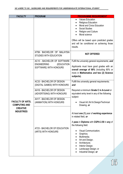| <b>FACULTY</b>                                  | <b>PROGRAM</b>                                                                                                                                                                              | <b>PROGRAMME REQUIREMENT</b>                                                                                                                                                                                                                                                                                         |
|-------------------------------------------------|---------------------------------------------------------------------------------------------------------------------------------------------------------------------------------------------|----------------------------------------------------------------------------------------------------------------------------------------------------------------------------------------------------------------------------------------------------------------------------------------------------------------------|
|                                                 |                                                                                                                                                                                             | <b>Values Education</b><br>Religious Education<br><b>Moral and Civics Education</b><br><b>Social Studies</b><br>Religion and Culture<br>Moral science<br>Offers will be based upon predicted grades<br>and will be conditional on achieving those                                                                    |
|                                                 | AT58- BACHELOR OF MALAYSIA<br><b>STUDIES WITH EDUCATION</b>                                                                                                                                 | results.<br><b>NOT OFFERED</b>                                                                                                                                                                                                                                                                                       |
|                                                 | AC10 - BACHELOR OF SOFTWARE<br><b>ENGINEERING</b><br>(EDUCATION<br>SOFTWARE) WITH HONOURS                                                                                                   | Fulfil the university general requirements; and<br>Applicants must have good grades with an<br>overall average of 80% (including 80% or<br>more in Mathematics and two (2) Science<br>subjects).                                                                                                                     |
| <b>FACULTY OF ARTS,</b><br><b>COMPUTING AND</b> | <b>AC33 - BACHELOR OF DESIGN</b><br>(DIGITAL GAMES) WITH HONOURS<br>AH16 - BACHELOR OF DESIGN<br>(ADVERTISING) WITH HONOURS<br><b>AH17 - BACHELOR OF DESIGN</b><br>(ANIMATION) WITH HONOURS | Fulfill the university general requirements;<br>and<br>Required a minimum Grade C in A-Level or<br>equivalent entry level in any of the following<br>subject:<br>Visual Art / Art & Design/Technical<br>Drawing, or                                                                                                  |
| <b>CREATIVE</b><br><b>INDUSTRIES</b>            | AT23 - BACHELOR OF EDUCATION<br>(ARTS) WITH HONOURS                                                                                                                                         | At least one (1) year of working experience<br>in related field, or<br>A pass in Diploma with CGPA 2.50 in any of<br>the following field:<br>Visual Communication;<br>Graphics;<br>Multimedia;<br>Art and Design;<br>$\bullet$<br>Architecture;<br>Interior Design;<br>Landscape Design; or<br>Industrial Design; or |

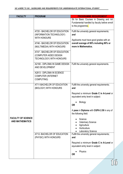| <b>FACULTY</b>            | <b>PROGRAM</b>                  | <b>PROGRAMME REQUIREMENT</b>                 |
|---------------------------|---------------------------------|----------------------------------------------|
|                           |                                 | Sit for Basic Courses in Drawing and Art     |
|                           |                                 | Fundamental handled by faculty before enroll |
|                           |                                 | to the programme.                            |
|                           | AT20 - BACHELOR OF EDUCATION    | Fulfil the university general requirements;  |
|                           | (INFORMATION TECHNOLOGY)        | and                                          |
|                           | <b>WITH HONOURS</b>             |                                              |
|                           |                                 | Applicants must have good grades with an     |
|                           | AT46 - BACHELOR OF EDUCATION    | overall average of 80% including 80% or      |
|                           | (MULTIMEDIA) WITH HONOURS       | more in Mathematics.                         |
|                           |                                 |                                              |
|                           | AT47 - BACHELOR OF EDUCATION    |                                              |
|                           | (COMPUTER AIDED DESIGN          |                                              |
|                           | <b>TECHNOLOGY) WITH HONOURS</b> |                                              |
|                           | A2160 - DIPLOMA IN GAME DESIGN  | Fulfil the university general requirements.  |
|                           | AND DEVELOPMENT                 |                                              |
|                           |                                 |                                              |
|                           | A2813 - DIPLOMA IN SCIENCE      |                                              |
|                           | <b>COMPUTER (INTERNET</b>       |                                              |
|                           | <b>COMPUTING)</b>               |                                              |
|                           | AT11-BACHELOR OF EDUCATION      | Fulfill the university general requirements; |
|                           | (BIOLOGY) WITH HONOURS          | and                                          |
|                           |                                 |                                              |
|                           |                                 | Required a minimum Grade C in A-Level or     |
|                           |                                 | equivalent entry level in subject:           |
|                           |                                 | <b>Biology</b>                               |
|                           |                                 | <b>OR</b>                                    |
|                           |                                 |                                              |
|                           |                                 | A pass in Diploma with CGPA 2.50 in any of   |
|                           |                                 | the following field:                         |
| <b>FACULTY OF SCIENCE</b> |                                 | Science                                      |
| <b>AND MATHEMATICS</b>    |                                 | <b>Veterinary Science</b>                    |
|                           |                                 | Agriculture                                  |
|                           |                                 | Horticulture                                 |
|                           |                                 | <b>Laboratory Science</b>                    |
|                           | AT12- BACHELOR OF EDUCATION     | Fulfill the university general requirements; |
|                           | (PHYSIC) WITH HONOURS           | and                                          |
|                           |                                 | Required a minimum Grade C in A-Level or     |
|                           |                                 | equivalent entry level in subject:           |
|                           |                                 |                                              |
|                           |                                 | Physics                                      |
|                           |                                 | <b>OR</b>                                    |
|                           |                                 |                                              |

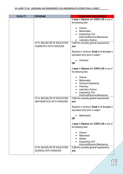| <b>FACULTY</b> | <b>PROGRAM</b>                                              | <b>PROGRAMME REQUIREMENT</b>                                                                                                                                    |
|----------------|-------------------------------------------------------------|-----------------------------------------------------------------------------------------------------------------------------------------------------------------|
|                |                                                             | A pass in Diploma with CGPA 2.50 in any of<br>the following field:                                                                                              |
|                |                                                             | Science<br><b>Mathematics</b><br><b>Engineering Civil/</b><br>Electrical/Electronic/Mechanical<br><b>Laboratory Science</b>                                     |
|                | AT13- BACHELOR OF EDUCATION<br>CHEMISTRY) WITH HONOURS      | Fulfill the university general requirements;<br>and                                                                                                             |
|                |                                                             | Required a minimum Grade C in A-Level or<br>equivalent entry level in subject:                                                                                  |
|                |                                                             | Chemistry<br><b>OR</b>                                                                                                                                          |
|                |                                                             | A pass in Diploma with CGPA 2.50 in any of<br>the following field:                                                                                              |
|                |                                                             | Science<br><b>Mathematics</b><br><b>Chemical Engineering</b><br>Pharmacy<br>Laboratory Science<br><b>Engineering Civil/</b><br>Electrical/Electronic/Mechanical |
|                | AT14- BACHELOR OF EDUCATION<br>(MATHEMATICS) WITH HONOURS   | Fulfill the university general requirements;<br>and                                                                                                             |
|                |                                                             | Required a minimum Grade C in A-Level or<br>equivalent entry level in subject:                                                                                  |
|                |                                                             | <b>Mathematics</b><br><b>OR</b>                                                                                                                                 |
|                |                                                             | A pass in Diploma with CGPA 2.50 in any of<br>the following field:                                                                                              |
|                |                                                             | Science<br>Mathematic<br><b>Statistic</b><br><b>Engineering Civil/</b><br>Electrical/Electronic/Mechanical                                                      |
|                | AT16- BACHELOR OF EDUCATION<br><b>SCIENCE) WITH HONOURS</b> | Fulfill the university general requirements;<br>and                                                                                                             |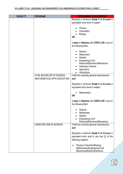| <b>FACULTY</b> | <b>PROGRAM</b>               | <b>PROGRAMME REQUIREMENT</b>                        |  |
|----------------|------------------------------|-----------------------------------------------------|--|
|                |                              | Required a minimum Grade C in A-Level or            |  |
|                |                              | equivalent entry level in subject:                  |  |
|                |                              |                                                     |  |
|                |                              | Physics<br>Chemistery                               |  |
|                |                              | <b>Biology</b>                                      |  |
|                |                              | <b>OR</b>                                           |  |
|                |                              |                                                     |  |
|                |                              | A pass in Diploma with CGPA 2.50 in any of          |  |
|                |                              | the following field::                               |  |
|                |                              | Science                                             |  |
|                |                              | Mathematic                                          |  |
|                |                              | <b>Statistic</b>                                    |  |
|                |                              | <b>Engineering Civil/</b>                           |  |
|                |                              | Electrical/Electronic/Mechanical                    |  |
|                |                              | <b>Veterinary Science</b>                           |  |
|                |                              | Agriculture<br>Horticulture                         |  |
|                | AT48- BACHELOR OF SCIENCE    | Fulfill the university general requirements;        |  |
|                | (MATHEMATICS) WITH EDUCATION | and                                                 |  |
|                |                              |                                                     |  |
|                |                              | Required a minimum Grade C in A-Level or            |  |
|                |                              | equivalent entry level in subject:                  |  |
|                |                              | <b>Mathematics</b>                                  |  |
|                |                              | <b>OR</b>                                           |  |
|                |                              |                                                     |  |
|                |                              | A pass in Diploma with CGPA 2.50 in any of          |  |
|                |                              | the following field::                               |  |
|                |                              | Science                                             |  |
|                |                              | Mathematic                                          |  |
|                |                              | <b>Statistic</b>                                    |  |
|                |                              | <b>Engineering Civil/</b>                           |  |
|                | A2000-DIPLOMA IN SCIENCE     | Electrical/Electronic/Mechanical                    |  |
|                |                              | Fulfill the university general requirements;<br>and |  |
|                |                              |                                                     |  |
|                |                              | Required a minimum Grade C in O-Level or            |  |
|                |                              | equivalent entry level in any two (2) of the        |  |
|                |                              | following subjects:                                 |  |
|                |                              | Physics/ Chemistry/Biology/                         |  |
|                |                              | Mathematics/Engineering Civil/                      |  |
|                |                              | Mechanical/Electric/Electronic                      |  |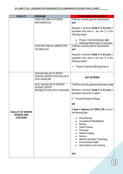| <b>FACULTY</b>                                 | <b>PROGRAM</b>                                                               | <b>PROGRAMME REQUIREMENT</b>                                                                                                                                                                                                    |
|------------------------------------------------|------------------------------------------------------------------------------|---------------------------------------------------------------------------------------------------------------------------------------------------------------------------------------------------------------------------------|
|                                                | A2002-DIPLOMA IN SCIENCE                                                     | Fulfill the university general requirements;                                                                                                                                                                                    |
|                                                | (MATHEMATICS)                                                                | and                                                                                                                                                                                                                             |
|                                                |                                                                              | Required a minimum Grade C in O-Level or<br>equivalent entry level in any one (1) of the<br>following subject:                                                                                                                  |
|                                                |                                                                              | Physics/ Chemistry/Biology; And<br>Additional Mathematics or equivalent                                                                                                                                                         |
|                                                | A2003-DIPLOMA IN LABORATORY<br><b>TECHNOLOGY</b>                             | Fulfill the university general requirements;<br>and                                                                                                                                                                             |
|                                                |                                                                              | Required a minimum Grade C in O-Level or<br>equivalent entry level in any one (1) of the<br>following subject:                                                                                                                  |
|                                                |                                                                              | Physics/ Chemistry/Biology/Science                                                                                                                                                                                              |
|                                                | AS20-BACHELOR OF SPORT<br>SCIENCE (SPORTS PSYCHOLOGY)<br><b>WITH HONOURS</b> | <b>NOT OFFERED</b>                                                                                                                                                                                                              |
|                                                | AS72- BACHELOR OF SPORTS                                                     | Fulfill the university general requirements; and                                                                                                                                                                                |
|                                                | <b>SCIENCE (SPORT</b><br>REHABILITATION) WITH HONOURS                        | Required a minimum Grade C in O-Level or<br>equivalent entry level in subject:                                                                                                                                                  |
|                                                |                                                                              | Physics/Chemistry/ Biology                                                                                                                                                                                                      |
| <b>FACULTY OF SPORTS</b><br><b>SCIENCE AND</b> |                                                                              | <b>OR</b>                                                                                                                                                                                                                       |
|                                                |                                                                              | A pass in Diploma with CGPA 2.50 in any of<br>the following field::                                                                                                                                                             |
| <b>COACHING</b>                                |                                                                              | Physiotherapy<br>Occupational Rehabilitation<br>Nursing<br><b>Health Science</b><br>Pharmacy<br>Medical Imaging<br>Science<br><b>Medical Laboratory Technology</b><br><b>Environmental Health</b><br>Sport Science and Coaching |
|                                                |                                                                              | and                                                                                                                                                                                                                             |

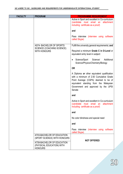| <b>FACULTY</b> | <b>PROGRAM</b>                                                            | <b>PROGRAMME REQUIREMENT</b>                                                                                                                                                                                              |
|----------------|---------------------------------------------------------------------------|---------------------------------------------------------------------------------------------------------------------------------------------------------------------------------------------------------------------------|
|                |                                                                           | Active in Sport and excellent in Co-curriculum<br>(candidate must email an<br>attachment<br>including certificate as a proof)                                                                                             |
|                |                                                                           | and                                                                                                                                                                                                                       |
|                |                                                                           | Pass interview (interview using software<br>called Skype)                                                                                                                                                                 |
|                | AS74- BACHELOR OF SPORTS<br>SCIENCE (COACHING SCIENCE)                    | Fulfill the university general requirements; and                                                                                                                                                                          |
|                | <b>WITH HONOURS</b>                                                       | Required a minimum Grade C in O-Level or<br>equivalent entry level in subject:                                                                                                                                            |
|                |                                                                           | Additional<br>Science/Sport<br>Science/<br>Science/Physics/Chemistry/Biology                                                                                                                                              |
|                |                                                                           | <b>OR</b>                                                                                                                                                                                                                 |
|                |                                                                           | A Diploma or other equivalent qualification<br>with a minimum of 2.50 Cumulative Grade<br>Point Average (CGPA) deemed to be of<br>equivalent standing from the Malaysian<br>Government and approved by the UPSI<br>Senate |
|                |                                                                           | and                                                                                                                                                                                                                       |
|                |                                                                           | Active in Sport and excellent in Co-curriculum<br>(candidate must email an attachment<br>including certificate as a proof)                                                                                                |
|                |                                                                           | and                                                                                                                                                                                                                       |
|                |                                                                           | No color blindness and special need                                                                                                                                                                                       |
|                |                                                                           | and                                                                                                                                                                                                                       |
|                |                                                                           | Pass interview (interview using software<br>called Skype)                                                                                                                                                                 |
|                | AT03-BACHELOR OF EDUCATION<br>(SPORT SCIENCE) WITH HONOURS                |                                                                                                                                                                                                                           |
|                | AT59-BACHELOR OF EDUCATION<br>(PHYSICAL EDUCATION) WITH<br><b>HONOURS</b> | <b>NOT OFFERED</b>                                                                                                                                                                                                        |

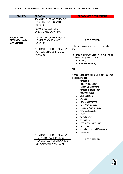| <b>FACULTY</b>                                                 | <b>PROGRAM</b>                                                                                    | <b>PROGRAMME REQUIREMENT</b>                                                                                                                                                                                     |
|----------------------------------------------------------------|---------------------------------------------------------------------------------------------------|------------------------------------------------------------------------------------------------------------------------------------------------------------------------------------------------------------------|
|                                                                | AT43-BACHELOR OF EDUCATION<br>(COACHING SCIENCE) WITH<br><b>HONOURS</b><br>A2390-DIPLOMA IN SPORT |                                                                                                                                                                                                                  |
|                                                                | <b>SCIENCE AND COACHING</b>                                                                       |                                                                                                                                                                                                                  |
| <b>FACULTY OF</b><br><b>TECHNICAL AND</b><br><b>VOCATIONAL</b> | AT07-BACHELOR OF EDUCATION<br>(HOME ECONOMICS) WITH<br><b>HONOURS</b>                             | <b>NOT OFFERED</b>                                                                                                                                                                                               |
|                                                                | AT09-BACHELOR OF EDUCATION<br>(AGRICULTURAL SCIENCE) WITH<br><b>HONOURS</b>                       | Fulfill the university general requirements;<br>and                                                                                                                                                              |
|                                                                |                                                                                                   | Required a minimum Grade C in A-Level or<br>equivalent entry level in subject:<br>Biology<br>Physics/Chemistry                                                                                                   |
|                                                                |                                                                                                   | <b>OR</b>                                                                                                                                                                                                        |
|                                                                |                                                                                                   | A pass in Diploma with CGPA 2.50 in any of<br>the following field:<br>Agriculture<br>Fishery/Aquaculture<br>Human Development<br>Agriculture Technology<br><b>Veterinary Science</b><br>Mechanization<br>Science |
|                                                                |                                                                                                   | Farm Management<br>Plant Agro-Industry<br><b>Ruminant Agro-Industry</b><br>Agro-Mechanization<br>Herbs<br>Biotechnology                                                                                          |
|                                                                |                                                                                                   | Aquaculture<br><b>Ornamental Horticulture</b><br>Landscape<br><b>Agriculture Product Processing</b>                                                                                                              |
|                                                                |                                                                                                   | Floriculture                                                                                                                                                                                                     |
|                                                                | AT55-BACHELOR OF EDUCATION<br>(TECHNOLOGY AND DESIGN)                                             | <b>NOT OFFERED</b>                                                                                                                                                                                               |
|                                                                | ATXX-BACHELOR OF EDUCATION<br>(DESIGNING) WITH HONOURS                                            |                                                                                                                                                                                                                  |

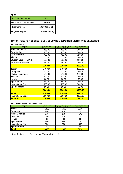| <b>FEES</b>                |                  |  |
|----------------------------|------------------|--|
| <b>ELPC PROGRAMME</b>      | RM               |  |
| English Course (per level) | 2500.00          |  |
| IPlacement Test            | 100.00 (one-off) |  |
| <b>Progress Report</b>     | 100.00 (one-off) |  |

### **TUITION FEES FOR DEGREE IN NON-EDUCATION SEMESTER 1 (ENTRANCE SEMESTER)**

FEES | SCIENCE NON SCIENCE FIN. SERV.\* Management Fee 1 360.00 360.00 360.00 Registration 1 500.00 500.00 500.00 Co-Curriculum 720.00 720.00 720.00 Alumni 200.00 200.00 200.00 Student Council (MPP) | 160.00 | 160.00 | 160.00 Health Examination | 250.00 | 250.00 | 250.00 **2190.00 2190.00 2190.00** Tuition | 1400.00 | 1400.00 | 2130.00 Computer 200.00 | 200.00 | 200.00 Medical Insurance 170.00 170.00 170.00 Services 200.00 200.00 200.00 Health 60.00 60.00 60.00 Special Fee **1** 480.00  $\vert$  380.00 380.00 International Fee 1 500.00 500.00 500.00 Sport Facilities **50.00** 50.00 50.00 **3060.00 2960.00 3690.00 Total 5250.00 5150.00 5880.00** International Bond 2000.00 2000.00 2000.00 **Total All 7250.00 7150.00 7880.00** SEMESTER 1

#### SECOND SEMESTER ONWARD

| <b>FEES</b>              | <b>SCIENCE</b> | <b>NON SCIENCE</b> | FIN. SERV.* |
|--------------------------|----------------|--------------------|-------------|
| Tuition                  | 1400           | 1400               | 2130        |
| Computer                 | 200            | 200                | 200         |
| <b>Medical Insurance</b> | 170            | 170                | 170         |
| Services                 | 200            | 200                | 200         |
| Health                   | 60             | 60                 | 60          |
| <b>Special Fee</b>       | 480            | 380                | 380         |
| <b>International Fee</b> | 500            | 500                | 500         |
| <b>Sport Facilities</b>  | 50             | 50                 | 50          |
| <b>Total</b>             | 3060           | 2960               | 3690        |

\* Rate for Degree In Buss. Admin (Financial Service)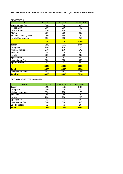## **TUITION FEES FOR DEGREE IN EDUCATION SEMESTER 1 (ENTRANCE SEMESTER)**

| <b>SEMESTER 1</b>            |                |                    |             |
|------------------------------|----------------|--------------------|-------------|
| <b>FEES</b>                  | <b>SCIENCE</b> | <b>NON SCIENCE</b> | FIN. SERV.* |
| Management Fee               | 360            | 360                | 360         |
| Registration                 | 500            | 500                | 500         |
| Co-Curriculum                | 720            | 720                | 720         |
| Alumni                       | 200            | 200                | 200         |
| <b>Student Council (MPP)</b> | 160            | 160                | 160         |
| <b>Health Examination</b>    | 250            | 250                | 250         |
|                              | 2190           | 2190               | 2190        |
| Tuition                      | 1240           | 1100               | 1400        |
| Computer                     | 200            | 200                | 200         |
| Medical Insurance            | 170            | 170                | 170         |
| <b>Services</b>              | 28             | 28                 | 28          |
| Health                       | 200            | 200                | 200         |
| <b>Special Fee</b>           | 60             | 60                 | 60          |
| International Fee            | 500            | 500                | 500         |
| <b>Sport Facilities</b>      | 50             | 50                 | 50          |
|                              | 2448           | 2308               | 2608        |
| <b>Total</b>                 | 4638           | 4498               | 4798        |
| <b>International Bond</b>    | 2000           | 2000               | 2000        |
| <b>Total All</b>             | 6638           | 6498               | 6798        |

## SECOND SEMESTER ONWARD

| <b>FEES</b>             | <b>SCIENCE</b> | <b>NON SCIENCE</b> | FIN. SERV.* |
|-------------------------|----------------|--------------------|-------------|
| Tuition                 | 1240           | 1100               | 1400        |
| Computer                | 200            | 200                | 200         |
| Medical Insurance       | 170            | 170                | 170         |
| <b>Services</b>         | 28             | 28                 | 28          |
| Health                  | 200            | 200                | 200         |
| <b>Special Fee</b>      | 60             | 60                 | 60          |
| International Fee       | 500            | 500                | 500         |
| <b>Sport Facilities</b> | 50             | 50                 | 50          |
| <b>Total</b>            | 2448           | 2308               | 2608        |